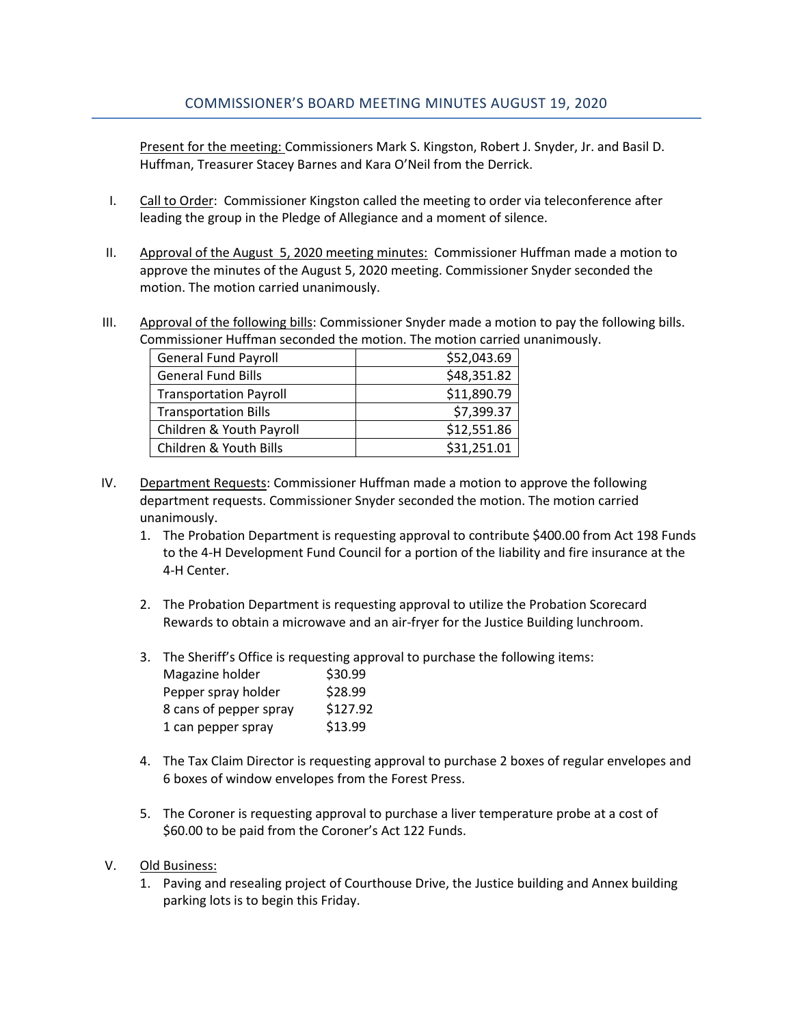Present for the meeting: Commissioners Mark S. Kingston, Robert J. Snyder, Jr. and Basil D. Huffman, Treasurer Stacey Barnes and Kara O'Neil from the Derrick.

- I. Call to Order: Commissioner Kingston called the meeting to order via teleconference after leading the group in the Pledge of Allegiance and a moment of silence.
- II. Approval of the August 5, 2020 meeting minutes: Commissioner Huffman made a motion to approve the minutes of the August 5, 2020 meeting. Commissioner Snyder seconded the motion. The motion carried unanimously.
- III. Approval of the following bills: Commissioner Snyder made a motion to pay the following bills. Commissioner Huffman seconded the motion. The motion carried unanimously.

| <b>General Fund Payroll</b>   | \$52,043.69 |
|-------------------------------|-------------|
| <b>General Fund Bills</b>     | \$48,351.82 |
| <b>Transportation Payroll</b> | \$11,890.79 |
| <b>Transportation Bills</b>   | \$7,399.37  |
| Children & Youth Payroll      | \$12,551.86 |
| Children & Youth Bills        | \$31,251.01 |

- IV. Department Requests: Commissioner Huffman made a motion to approve the following department requests. Commissioner Snyder seconded the motion. The motion carried unanimously.
	- 1. The Probation Department is requesting approval to contribute \$400.00 from Act 198 Funds to the 4-H Development Fund Council for a portion of the liability and fire insurance at the 4-H Center.
	- 2. The Probation Department is requesting approval to utilize the Probation Scorecard Rewards to obtain a microwave and an air-fryer for the Justice Building lunchroom.
	- 3. The Sheriff's Office is requesting approval to purchase the following items:

| Magazine holder        | \$30.99  |
|------------------------|----------|
| Pepper spray holder    | \$28.99  |
| 8 cans of pepper spray | \$127.92 |
| 1 can pepper spray     | \$13.99  |

- 4. The Tax Claim Director is requesting approval to purchase 2 boxes of regular envelopes and 6 boxes of window envelopes from the Forest Press.
- 5. The Coroner is requesting approval to purchase a liver temperature probe at a cost of \$60.00 to be paid from the Coroner's Act 122 Funds.
- V. Old Business:
	- 1. Paving and resealing project of Courthouse Drive, the Justice building and Annex building parking lots is to begin this Friday.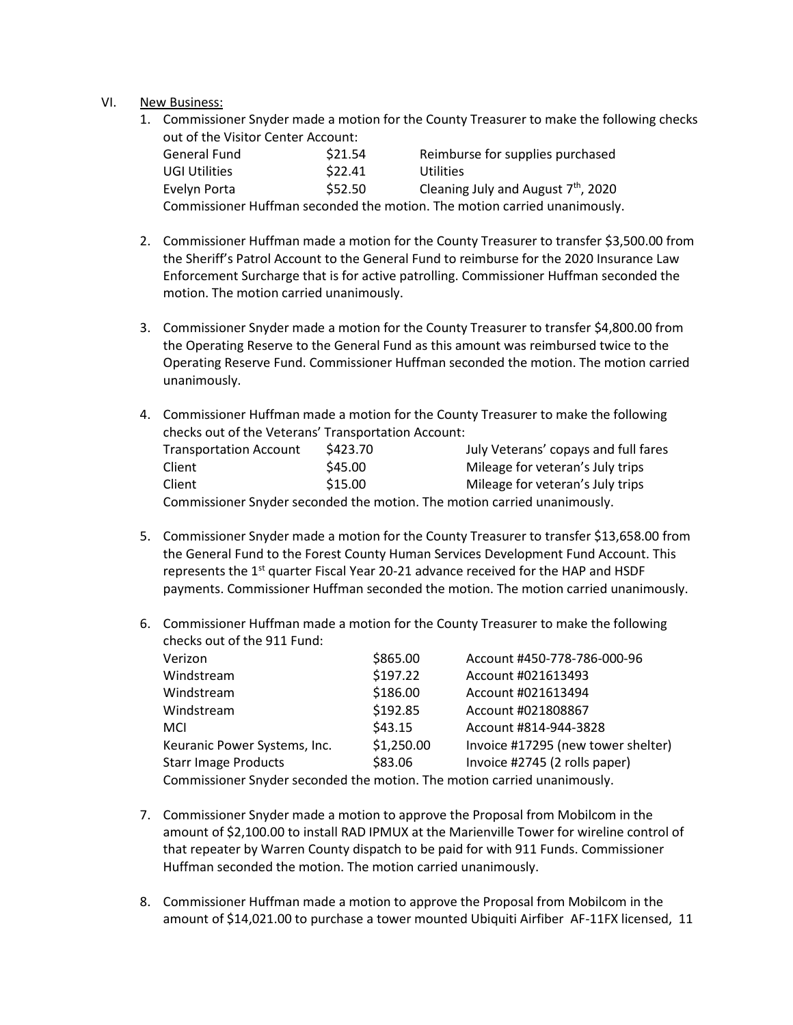## VI. New Business:

1. Commissioner Snyder made a motion for the County Treasurer to make the following checks out of the Visitor Center Account:

| General Fund                                                              | \$21.54 | Reimburse for supplies purchased                |  |  |
|---------------------------------------------------------------------------|---------|-------------------------------------------------|--|--|
| <b>UGI Utilities</b>                                                      | \$22.41 | Utilities                                       |  |  |
| Evelyn Porta                                                              | \$52.50 | Cleaning July and August 7 <sup>th</sup> , 2020 |  |  |
| Commissioner Huffman seconded the motion. The motion carried unanimously. |         |                                                 |  |  |

- 2. Commissioner Huffman made a motion for the County Treasurer to transfer \$3,500.00 from the Sheriff's Patrol Account to the General Fund to reimburse for the 2020 Insurance Law Enforcement Surcharge that is for active patrolling. Commissioner Huffman seconded the motion. The motion carried unanimously.
- 3. Commissioner Snyder made a motion for the County Treasurer to transfer \$4,800.00 from the Operating Reserve to the General Fund as this amount was reimbursed twice to the Operating Reserve Fund. Commissioner Huffman seconded the motion. The motion carried unanimously.
- 4. Commissioner Huffman made a motion for the County Treasurer to make the following checks out of the Veterans' Transportation Account: Transportation Account \$423.70 July Veterans' copays and full fares Client  $$45.00$  Mileage for veteran's July trips Client  $$15.00$  Mileage for veteran's July trips Commissioner Snyder seconded the motion. The motion carried unanimously.
- 5. Commissioner Snyder made a motion for the County Treasurer to transfer \$13,658.00 from the General Fund to the Forest County Human Services Development Fund Account. This represents the  $1<sup>st</sup>$  quarter Fiscal Year 20-21 advance received for the HAP and HSDF payments. Commissioner Huffman seconded the motion. The motion carried unanimously.
- 6. Commissioner Huffman made a motion for the County Treasurer to make the following checks out of the 911 Fund:

| Verizon                                                                 | \$865.00   | Account #450-778-786-000-96        |  |
|-------------------------------------------------------------------------|------------|------------------------------------|--|
| Windstream                                                              | \$197.22   | Account #021613493                 |  |
| Windstream                                                              | \$186.00   | Account #021613494                 |  |
| Windstream                                                              | \$192.85   | Account #021808867                 |  |
| <b>MCI</b>                                                              | \$43.15    | Account #814-944-3828              |  |
| Keuranic Power Systems, Inc.                                            | \$1,250.00 | Invoice #17295 (new tower shelter) |  |
| <b>Starr Image Products</b>                                             | \$83.06    | Invoice #2745 (2 rolls paper)      |  |
| Commissioner Spuder seconded the motion. The motion carried unanimously |            |                                    |  |

Commissioner Snyder seconded the motion. The motion carried unanimously.

- 7. Commissioner Snyder made a motion to approve the Proposal from Mobilcom in the amount of \$2,100.00 to install RAD IPMUX at the Marienville Tower for wireline control of that repeater by Warren County dispatch to be paid for with 911 Funds. Commissioner Huffman seconded the motion. The motion carried unanimously.
- 8. Commissioner Huffman made a motion to approve the Proposal from Mobilcom in the amount of \$14,021.00 to purchase a tower mounted Ubiquiti Airfiber AF-11FX licensed, 11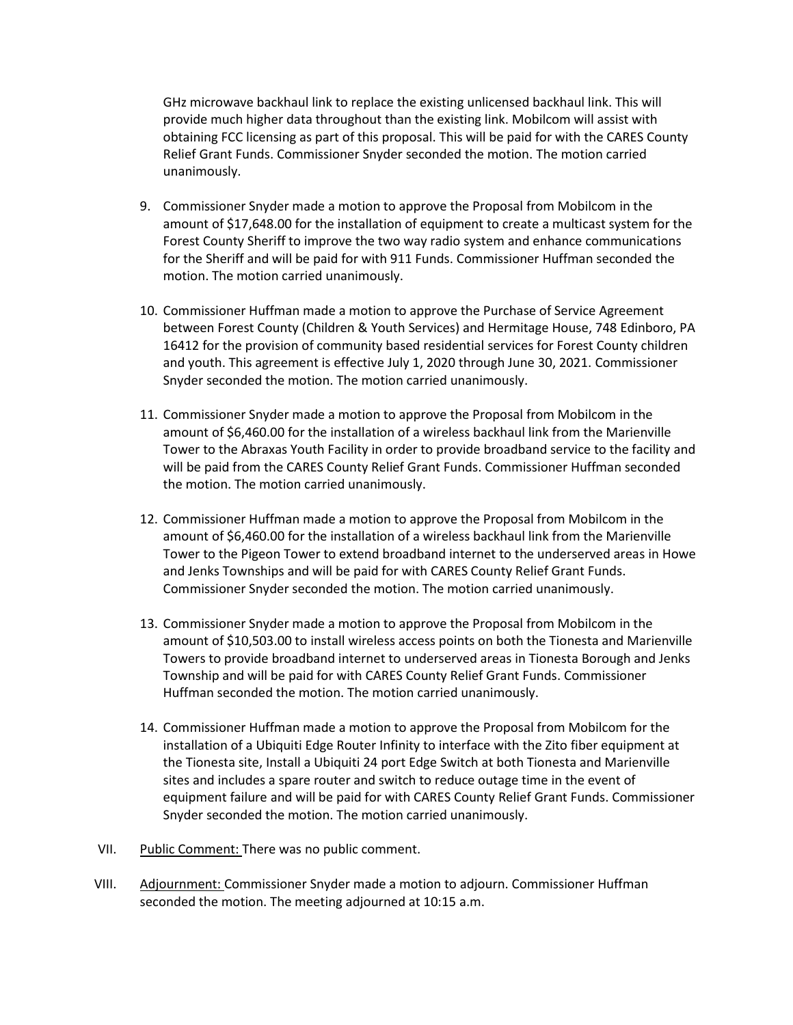GHz microwave backhaul link to replace the existing unlicensed backhaul link. This will provide much higher data throughout than the existing link. Mobilcom will assist with obtaining FCC licensing as part of this proposal. This will be paid for with the CARES County Relief Grant Funds. Commissioner Snyder seconded the motion. The motion carried unanimously.

- 9. Commissioner Snyder made a motion to approve the Proposal from Mobilcom in the amount of \$17,648.00 for the installation of equipment to create a multicast system for the Forest County Sheriff to improve the two way radio system and enhance communications for the Sheriff and will be paid for with 911 Funds. Commissioner Huffman seconded the motion. The motion carried unanimously.
- 10. Commissioner Huffman made a motion to approve the Purchase of Service Agreement between Forest County (Children & Youth Services) and Hermitage House, 748 Edinboro, PA 16412 for the provision of community based residential services for Forest County children and youth. This agreement is effective July 1, 2020 through June 30, 2021. Commissioner Snyder seconded the motion. The motion carried unanimously.
- 11. Commissioner Snyder made a motion to approve the Proposal from Mobilcom in the amount of \$6,460.00 for the installation of a wireless backhaul link from the Marienville Tower to the Abraxas Youth Facility in order to provide broadband service to the facility and will be paid from the CARES County Relief Grant Funds. Commissioner Huffman seconded the motion. The motion carried unanimously.
- 12. Commissioner Huffman made a motion to approve the Proposal from Mobilcom in the amount of \$6,460.00 for the installation of a wireless backhaul link from the Marienville Tower to the Pigeon Tower to extend broadband internet to the underserved areas in Howe and Jenks Townships and will be paid for with CARES County Relief Grant Funds. Commissioner Snyder seconded the motion. The motion carried unanimously.
- 13. Commissioner Snyder made a motion to approve the Proposal from Mobilcom in the amount of \$10,503.00 to install wireless access points on both the Tionesta and Marienville Towers to provide broadband internet to underserved areas in Tionesta Borough and Jenks Township and will be paid for with CARES County Relief Grant Funds. Commissioner Huffman seconded the motion. The motion carried unanimously.
- 14. Commissioner Huffman made a motion to approve the Proposal from Mobilcom for the installation of a Ubiquiti Edge Router Infinity to interface with the Zito fiber equipment at the Tionesta site, Install a Ubiquiti 24 port Edge Switch at both Tionesta and Marienville sites and includes a spare router and switch to reduce outage time in the event of equipment failure and will be paid for with CARES County Relief Grant Funds. Commissioner Snyder seconded the motion. The motion carried unanimously.
- VII. Public Comment: There was no public comment.
- VIII. Adjournment: Commissioner Snyder made a motion to adjourn. Commissioner Huffman seconded the motion. The meeting adjourned at 10:15 a.m.